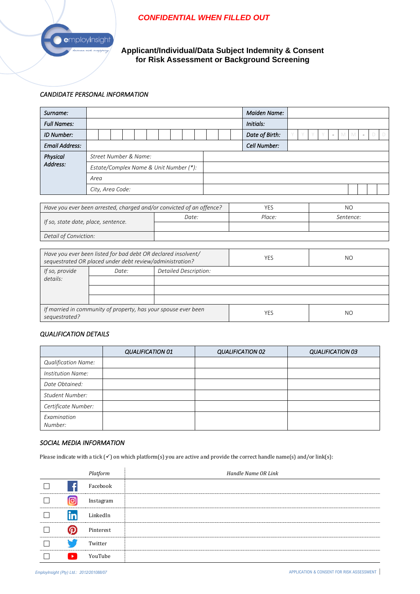# *CONFIDENTIAL WHEN FILLED OUT*



**Applicant/Individual/Data Subject Indemnity & Consent for Risk Assessment or Background Screening**

### *CANDIDATE PERSONAL INFORMATION*

| Surname:                                                                                                                  |                                        |  |  |       |  |                                                                      | <b>Maiden Name:</b> |           |  |  |            |              |                |  |           |  |  |                |                          |   |   |                          |   |        |
|---------------------------------------------------------------------------------------------------------------------------|----------------------------------------|--|--|-------|--|----------------------------------------------------------------------|---------------------|-----------|--|--|------------|--------------|----------------|--|-----------|--|--|----------------|--------------------------|---|---|--------------------------|---|--------|
| <b>Full Names:</b>                                                                                                        |                                        |  |  |       |  |                                                                      |                     | Initials: |  |  |            |              |                |  |           |  |  |                |                          |   |   |                          |   |        |
| ID Number:                                                                                                                |                                        |  |  |       |  |                                                                      |                     |           |  |  |            |              | Date of Birth: |  |           |  |  |                | $\overline{\phantom{a}}$ | M | M | $\overline{\phantom{a}}$ | Ð | $\Box$ |
| <b>Email Address:</b>                                                                                                     |                                        |  |  |       |  |                                                                      |                     |           |  |  |            | Cell Number: |                |  |           |  |  |                |                          |   |   |                          |   |        |
| <b>Physical</b>                                                                                                           | Street Number & Name:                  |  |  |       |  |                                                                      |                     |           |  |  |            |              |                |  |           |  |  |                |                          |   |   |                          |   |        |
| Address:                                                                                                                  | Estate/Complex Name & Unit Number (*): |  |  |       |  |                                                                      |                     |           |  |  |            |              |                |  |           |  |  |                |                          |   |   |                          |   |        |
|                                                                                                                           | Area                                   |  |  |       |  |                                                                      |                     |           |  |  |            |              |                |  |           |  |  |                |                          |   |   |                          |   |        |
|                                                                                                                           | City, Area Code:                       |  |  |       |  |                                                                      |                     |           |  |  |            |              |                |  |           |  |  |                |                          |   |   |                          |   |        |
|                                                                                                                           |                                        |  |  |       |  |                                                                      |                     |           |  |  |            |              |                |  |           |  |  |                |                          |   |   |                          |   |        |
|                                                                                                                           |                                        |  |  |       |  | Have you ever been arrested, charged and/or convicted of an offence? |                     |           |  |  |            | <b>YES</b>   |                |  |           |  |  | N <sub>O</sub> |                          |   |   |                          |   |        |
|                                                                                                                           |                                        |  |  | Date: |  |                                                                      |                     |           |  |  | Place:     |              |                |  | Sentence: |  |  |                |                          |   |   |                          |   |        |
| If so, state date, place, sentence.                                                                                       |                                        |  |  |       |  |                                                                      |                     |           |  |  |            |              |                |  |           |  |  |                |                          |   |   |                          |   |        |
| Detail of Conviction:                                                                                                     |                                        |  |  |       |  |                                                                      |                     |           |  |  |            |              |                |  |           |  |  |                |                          |   |   |                          |   |        |
|                                                                                                                           |                                        |  |  |       |  |                                                                      |                     |           |  |  |            |              |                |  |           |  |  |                |                          |   |   |                          |   |        |
| Have you ever been listed for bad debt OR declared insolvent/<br>sequestrated OR placed under debt review/administration? |                                        |  |  |       |  |                                                                      |                     |           |  |  | <b>YES</b> |              |                |  |           |  |  | N <sub>O</sub> |                          |   |   |                          |   |        |
| If so, provide                                                                                                            | Detailed Description:<br>Date:         |  |  |       |  |                                                                      |                     |           |  |  |            |              |                |  |           |  |  |                |                          |   |   |                          |   |        |
| details:                                                                                                                  |                                        |  |  |       |  |                                                                      |                     |           |  |  |            |              |                |  |           |  |  |                |                          |   |   |                          |   |        |
|                                                                                                                           |                                        |  |  |       |  |                                                                      |                     |           |  |  |            |              |                |  |           |  |  |                |                          |   |   |                          |   |        |
|                                                                                                                           |                                        |  |  |       |  |                                                                      |                     |           |  |  |            |              |                |  |           |  |  |                |                          |   |   |                          |   |        |

### *QUALIFICATION DETAILS*

*If married in community of property, has your spouse ever been* 

|                            | <b>QUALIFICATION 01</b> | <b>QUALIFICATION 02</b> | <b>QUALIFICATION 03</b> |
|----------------------------|-------------------------|-------------------------|-------------------------|
| <b>Qualification Name:</b> |                         |                         |                         |
| Institution Name:          |                         |                         |                         |
| Date Obtained:             |                         |                         |                         |
| Student Number:            |                         |                         |                         |
| Certificate Number:        |                         |                         |                         |
| Examination<br>Number:     |                         |                         |                         |

*sequestrated?* NO<br>sequestrated? NO

### *SOCIAL MEDIA INFORMATION*

Please indicate with a tick (✓) on which platform(s) you are active and provide the correct handle name(s) and/or link(s):

|           | Platform  | Handle Name OR Link |
|-----------|-----------|---------------------|
|           | Facebook  |                     |
|           | Instagram |                     |
| $\bullet$ | LinkedIn  |                     |
|           | Pinterest |                     |
|           | Twitter   |                     |
|           | YouTube   |                     |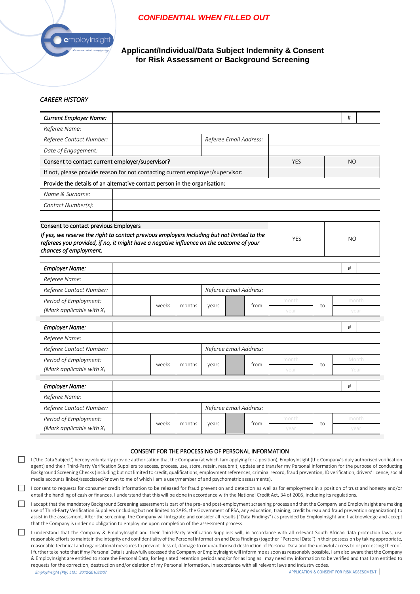## *CONFIDENTIAL WHEN FILLED OUT*



**Applicant/Individual/Data Subject Indemnity & Consent for Risk Assessment or Background Screening**

### *CAREER HISTORY*

| <b>Current Employer Name:</b>                                                               |                                                 |                                  |           |                        |  |      |            |       | #     |       |  |  |
|---------------------------------------------------------------------------------------------|-------------------------------------------------|----------------------------------|-----------|------------------------|--|------|------------|-------|-------|-------|--|--|
| Referee Name:                                                                               |                                                 |                                  |           |                        |  |      |            |       |       |       |  |  |
| Referee Contact Number:                                                                     |                                                 |                                  |           | Referee Email Address: |  |      |            |       |       |       |  |  |
| Date of Engagement:                                                                         |                                                 |                                  |           |                        |  |      |            |       |       |       |  |  |
| Consent to contact current employer/supervisor?                                             | YES                                             |                                  | <b>NO</b> |                        |  |      |            |       |       |       |  |  |
| If not, please provide reason for not contacting current employer/supervisor:               |                                                 |                                  |           |                        |  |      |            |       |       |       |  |  |
| Provide the details of an alternative contact person in the organisation:                   |                                                 |                                  |           |                        |  |      |            |       |       |       |  |  |
| Name & Surname:                                                                             |                                                 |                                  |           |                        |  |      |            |       |       |       |  |  |
| Contact Number(s):                                                                          |                                                 |                                  |           |                        |  |      |            |       |       |       |  |  |
|                                                                                             |                                                 |                                  |           |                        |  |      |            |       |       |       |  |  |
| Consent to contact previous Employers                                                       |                                                 |                                  |           |                        |  |      |            |       |       |       |  |  |
| If yes, we reserve the right to contact previous employers including but not limited to the |                                                 |                                  |           |                        |  |      | <b>YES</b> |       | NO    |       |  |  |
| referees you provided, if no, it might have a negative influence on the outcome of your     |                                                 |                                  |           |                        |  |      |            |       |       |       |  |  |
| chances of employment.                                                                      |                                                 |                                  |           |                        |  |      |            |       |       |       |  |  |
| <b>Employer Name:</b>                                                                       |                                                 |                                  |           |                        |  |      |            |       | #     |       |  |  |
| Referee Name:                                                                               |                                                 |                                  |           |                        |  |      |            |       |       |       |  |  |
| Referee Contact Number:                                                                     |                                                 |                                  |           | Referee Email Address: |  |      |            |       |       |       |  |  |
| Period of Employment:                                                                       |                                                 | month                            |           |                        |  |      |            |       | month |       |  |  |
| (Mark applicable with X)                                                                    |                                                 | weeks<br>months<br>from<br>years |           |                        |  |      |            | to    | year  |       |  |  |
|                                                                                             |                                                 |                                  |           |                        |  |      |            |       |       |       |  |  |
| <b>Employer Name:</b>                                                                       |                                                 |                                  |           |                        |  |      |            |       | #     |       |  |  |
| Referee Name:                                                                               |                                                 |                                  |           |                        |  |      |            |       |       |       |  |  |
| Referee Contact Number:                                                                     |                                                 |                                  |           | Referee Email Address: |  |      |            |       |       |       |  |  |
| Period of Employment:                                                                       | month<br>weeks<br>months<br>from<br>years<br>to |                                  |           |                        |  |      |            | Month |       |       |  |  |
|                                                                                             | (Mark applicable with X)                        |                                  |           |                        |  |      | year       |       |       | Year  |  |  |
| <b>Employer Name:</b>                                                                       |                                                 |                                  |           |                        |  |      |            |       | #     |       |  |  |
| Referee Name:                                                                               |                                                 |                                  |           |                        |  |      |            |       |       |       |  |  |
| Referee Contact Number:                                                                     |                                                 |                                  |           | Referee Email Address: |  |      |            |       |       |       |  |  |
|                                                                                             |                                                 |                                  |           |                        |  |      |            |       |       |       |  |  |
| Period of Employment:                                                                       |                                                 | weeks                            | months    | years                  |  | from | month      | to    |       | month |  |  |
| (Mark applicable with X)                                                                    |                                                 |                                  |           |                        |  |      | year       |       | year  |       |  |  |

#### CONSENT FOR THE PROCESSING OF PERSONAL INFORMATION

I ('the Data Subject') hereby voluntarily provide authorisation that the Company (at which I am applying for a position), EmployInsight (the Company's duly authorised verification agent) and their Third-Party Verification Suppliers to access, process, use, store, retain, resubmit, update and transfer my Personal Information for the purpose of conducting Background Screening Checks(including but not limited to credit, qualifications, employment references, criminal record, fraud prevention, ID verification, drivers' licence, social media accounts linked/associated/known to me of which I am a user/member of and psychometric assessments).

 I consent to requests for consumer credit information to be released for fraud prevention and detection as well as for employment in a position of trust and honesty and/or entail the handling of cash or finances. I understand that this will be done in accordance with the National Credit Act, 34 of 2005, including its regulations.

I accept that the mandatory Background Screening assessment is part of the pre- and post-employment screening process and that the Company and EmployInsight are making use of Third-Party Verification Suppliers (including but not limited to SAPS, the Government of RSA, any education, training, credit bureau and fraud prevention organization) to assist in the assessment. After the screening, the Company will integrate and consider all results ("Data Findings") as provided by EmployInsight and I acknowledge and accept that the Company is under no obligation to employ me upon completion of the assessment process.

I understand that the Company & EmployInsight and their Third-Party Verification Suppliers will, in accordance with all relevant South African data protection laws, use reasonable efforts to maintain the integrity and confidentiality of the Personal Information and Data Findings (together "Personal Data") in their possession by taking appropriate, reasonable technical and organisational measures to prevent- loss of, damage to or unauthorised destruction of Personal Data and the unlawful access to or processing thereof. I further take note that if my Personal Data is unlawfully accessed the Company or EmployInsight will inform me as soon as reasonably possible. I am also aware that the Company & EmployInsight are entitled to store the Personal Data, for legislated retention periods and/or for as long as I may need my information to be verified and that I am entitled to requests for the correction, destruction and/or deletion of my Personal Information, in accordance with all relevant laws and industry codes.

*EmployInsight (Pty) Ltd.: 2012/201088/07*